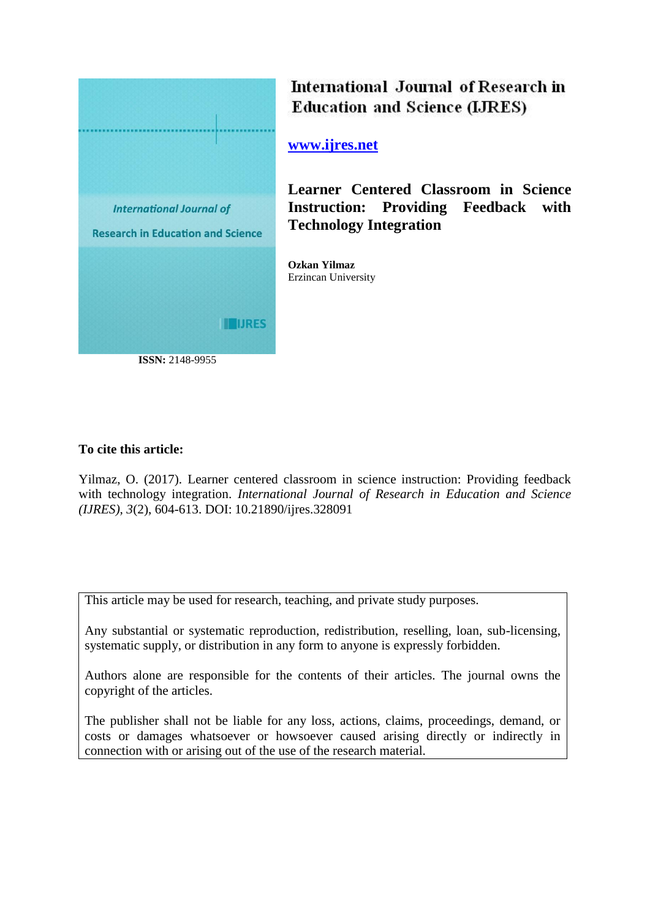

International Journal of Research in **Education and Science (LJRES)** 

**[www.ijres.net](http://www.ijres.net/)**

**Learner Centered Classroom in Science Instruction: Providing Feedback with Technology Integration**

**Ozkan Yilmaz** Erzincan University

## **To cite this article:**

Yilmaz, O. (2017). Learner centered classroom in science instruction: Providing feedback with technology integration. *International Journal of Research in Education and Science (IJRES), 3*(2), 604-613. DOI: 10.21890/ijres.328091

This article may be used for research, teaching, and private study purposes.

Any substantial or systematic reproduction, redistribution, reselling, loan, sub-licensing, systematic supply, or distribution in any form to anyone is expressly forbidden.

Authors alone are responsible for the contents of their articles. The journal owns the copyright of the articles.

The publisher shall not be liable for any loss, actions, claims, proceedings, demand, or costs or damages whatsoever or howsoever caused arising directly or indirectly in connection with or arising out of the use of the research material.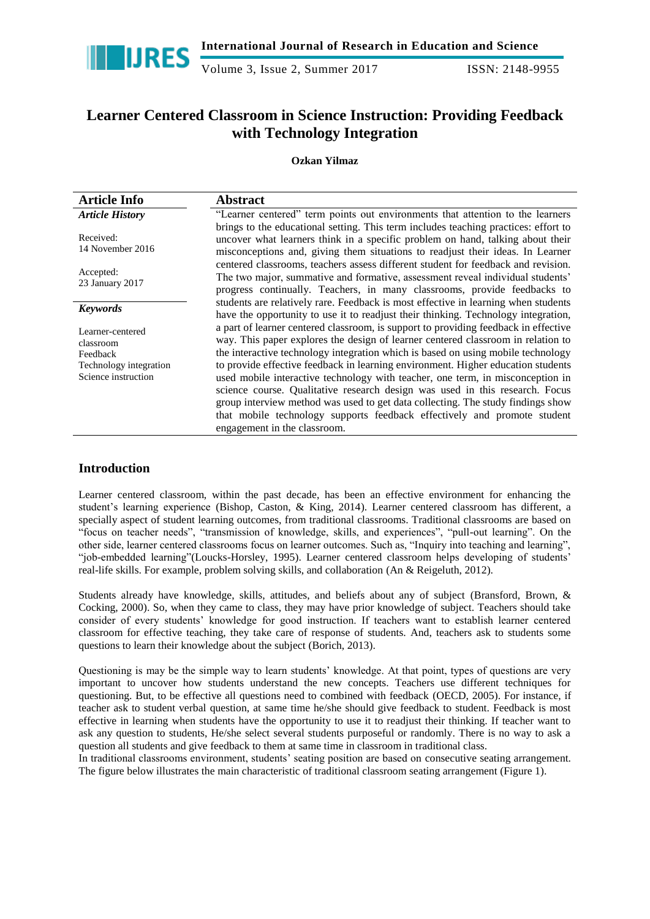

Volume 3, Issue 2, Summer 2017 **ISSN: 2148-9955** 

# **Learner Centered Classroom in Science Instruction: Providing Feedback with Technology Integration**

### **Ozkan Yilmaz**

| <b>Article Info</b>                                                                        | <b>Abstract</b>                                                                                                                                                                                                                                                                                                                                                                                                                                                                                                                                                                                                                                                                                                  |
|--------------------------------------------------------------------------------------------|------------------------------------------------------------------------------------------------------------------------------------------------------------------------------------------------------------------------------------------------------------------------------------------------------------------------------------------------------------------------------------------------------------------------------------------------------------------------------------------------------------------------------------------------------------------------------------------------------------------------------------------------------------------------------------------------------------------|
| <b>Article History</b>                                                                     | "Learner centered" term points out environments that attention to the learners                                                                                                                                                                                                                                                                                                                                                                                                                                                                                                                                                                                                                                   |
| Received:<br>14 November 2016                                                              | brings to the educational setting. This term includes teaching practices: effort to<br>uncover what learners think in a specific problem on hand, talking about their<br>misconceptions and, giving them situations to readjust their ideas. In Learner<br>centered classrooms, teachers assess different student for feedback and revision.<br>The two major, summative and formative, assessment reveal individual students'<br>progress continually. Teachers, in many classrooms, provide feedbacks to                                                                                                                                                                                                       |
| Accepted:<br>23 January 2017                                                               |                                                                                                                                                                                                                                                                                                                                                                                                                                                                                                                                                                                                                                                                                                                  |
| <b>Keywords</b>                                                                            | students are relatively rare. Feedback is most effective in learning when students<br>have the opportunity to use it to readjust their thinking. Technology integration,                                                                                                                                                                                                                                                                                                                                                                                                                                                                                                                                         |
| Learner-centered<br>classroom<br>Feedback<br>Technology integration<br>Science instruction | a part of learner centered classroom, is support to providing feedback in effective<br>way. This paper explores the design of learner centered classroom in relation to<br>the interactive technology integration which is based on using mobile technology<br>to provide effective feedback in learning environment. Higher education students<br>used mobile interactive technology with teacher, one term, in misconception in<br>science course. Qualitative research design was used in this research. Focus<br>group interview method was used to get data collecting. The study findings show<br>that mobile technology supports feedback effectively and promote student<br>engagement in the classroom. |

## **Introduction**

Learner centered classroom, within the past decade, has been an effective environment for enhancing the student"s learning experience [\(Bishop, Caston, & King, 2014\)](#page-9-0). Learner centered classroom has different, a specially aspect of student learning outcomes, from traditional classrooms. Traditional classrooms are based on "focus on teacher needs", "transmission of knowledge, skills, and experiences", "pull-out learning". On the other side, learner centered classrooms focus on learner outcomes. Such as, "Inquiry into teaching and learning", "job-embedded learning"[\(Loucks-Horsley, 1995\)](#page-9-1). Learner centered classroom helps developing of students" real-life skills. For example, problem solving skills, and collaboration [\(An & Reigeluth, 2012\)](#page-9-2).

Students already have knowledge, skills, attitudes, and beliefs about any of subject [\(Bransford, Brown, &](#page-9-3)  [Cocking, 2000\)](#page-9-3). So, when they came to class, they may have prior knowledge of subject. Teachers should take consider of every students" knowledge for good instruction. If teachers want to establish learner centered classroom for effective teaching, they take care of response of students. And, teachers ask to students some questions to learn their knowledge about the subject [\(Borich, 2013\)](#page-9-4).

Questioning is may be the simple way to learn students" knowledge. At that point, types of questions are very important to uncover how students understand the new concepts. Teachers use different techniques for questioning. But, to be effective all questions need to combined with feedback [\(OECD, 2005\)](#page-9-5). For instance, if teacher ask to student verbal question, at same time he/she should give feedback to student. Feedback is most effective in learning when students have the opportunity to use it to readjust their thinking. If teacher want to ask any question to students, He/she select several students purposeful or randomly. There is no way to ask a question all students and give feedback to them at same time in classroom in traditional class.

In traditional classrooms environment, students' seating position are based on consecutive seating arrangement. The figure below illustrates the main characteristic of traditional classroom seating arrangement (Figure 1).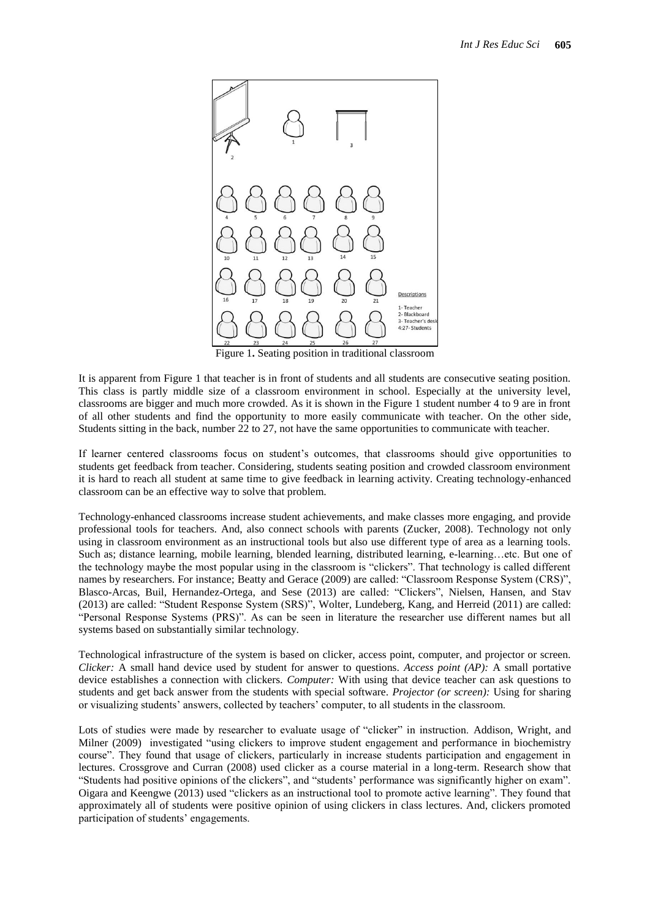

Figure 1**.** Seating position in traditional classroom

It is apparent from Figure 1 that teacher is in front of students and all students are consecutive seating position. This class is partly middle size of a classroom environment in school. Especially at the university level, classrooms are bigger and much more crowded. As it is shown in the Figure 1 student number 4 to 9 are in front of all other students and find the opportunity to more easily communicate with teacher. On the other side, Students sitting in the back, number 22 to 27, not have the same opportunities to communicate with teacher.

If learner centered classrooms focus on student"s outcomes, that classrooms should give opportunities to students get feedback from teacher. Considering, students seating position and crowded classroom environment it is hard to reach all student at same time to give feedback in learning activity. Creating technology-enhanced classroom can be an effective way to solve that problem.

Technology-enhanced classrooms increase student achievements, and make classes more engaging, and provide professional tools for teachers. And, also connect schools with parents [\(Zucker, 2008\)](#page-10-0). Technology not only using in classroom environment as an instructional tools but also use different type of area as a learning tools. Such as; distance learning, mobile learning, blended learning, distributed learning, e-learning…etc. But one of the technology maybe the most popular using in the classroom is "clickers". That technology is called different names by researchers. For instance; [Beatty and Gerace \(2009\)](#page-9-6) are called: "Classroom Response System (CRS)", [Blasco-Arcas, Buil, Hernandez-Ortega, and Sese \(2013\)](#page-9-7) are called: "Clickers", [Nielsen, Hansen, and Stav](#page-9-8)  [\(2013\)](#page-9-8) are called: "Student Response System (SRS)", [Wolter, Lundeberg, Kang, and Herreid \(2011\)](#page-10-1) are called: "Personal Response Systems (PRS)". As can be seen in literature the researcher use different names but all systems based on substantially similar technology.

Technological infrastructure of the system is based on clicker, access point, computer, and projector or screen. *Clicker:* A small hand device used by student for answer to questions. *Access point (AP):* A small portative device establishes a connection with clickers. *Computer:* With using that device teacher can ask questions to students and get back answer from the students with special software. *Projector (or screen):* Using for sharing or visualizing students" answers, collected by teachers" computer, to all students in the classroom.

Lots of studies were made by researcher to evaluate usage of "clicker" in instruction. [Addison, Wright, and](#page-8-0)  [Milner \(2009\)](#page-8-0) investigated "using clickers to improve student engagement and performance in biochemistry course". They found that usage of clickers, particularly in increase students participation and engagement in lectures. [Crossgrove and Curran \(2008\)](#page-9-9) used clicker as a course material in a long-term. Research show that "Students had positive opinions of the clickers", and "students" performance was significantly higher on exam". [Oigara and Keengwe \(2013\)](#page-9-10) used "clickers as an instructional tool to promote active learning". They found that approximately all of students were positive opinion of using clickers in class lectures. And, clickers promoted participation of students' engagements.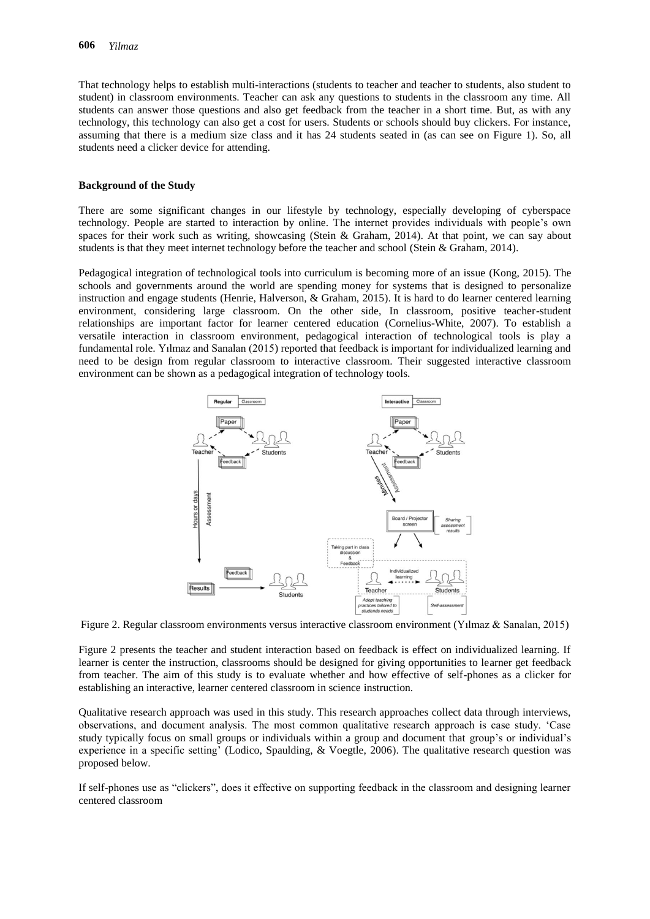That technology helps to establish multi-interactions (students to teacher and teacher to students, also student to student) in classroom environments. Teacher can ask any questions to students in the classroom any time. All students can answer those questions and also get feedback from the teacher in a short time. But, as with any technology, this technology can also get a cost for users. Students or schools should buy clickers. For instance, assuming that there is a medium size class and it has 24 students seated in (as can see on Figure 1). So, all students need a clicker device for attending.

#### **Background of the Study**

There are some significant changes in our lifestyle by technology, especially developing of cyberspace technology. People are started to interaction by online. The internet provides individuals with people"s own spaces for their work such as writing, showcasing [\(Stein & Graham, 2014\)](#page-10-2). At that point, we can say about students is that they meet internet technology before the teacher and school [\(Stein & Graham, 2014\)](#page-10-2).

Pedagogical integration of technological tools into curriculum is becoming more of an issue [\(Kong, 2015\)](#page-9-11). The schools and governments around the world are spending money for systems that is designed to personalize instruction and engage students [\(Henrie, Halverson, & Graham, 2015\)](#page-9-12). It is hard to do learner centered learning environment, considering large classroom. On the other side, In classroom, positive teacher-student relationships are important factor for learner centered education [\(Cornelius-White, 2007\)](#page-9-13). To establish a versatile interaction in classroom environment, pedagogical interaction of technological tools is play a fundamental role. [Yılmaz and Sanalan \(2015\)](#page-10-3) reported that feedback is important for individualized learning and need to be design from regular classroom to interactive classroom. Their suggested interactive classroom environment can be shown as a pedagogical integration of technology tools.



Figure 2. Regular classroom environments versus interactive classroom environment [\(Yılmaz & Sanalan, 2015\)](#page-10-3)

Figure 2 presents the teacher and student interaction based on feedback is effect on individualized learning. If learner is center the instruction, classrooms should be designed for giving opportunities to learner get feedback from teacher. The aim of this study is to evaluate whether and how effective of self-phones as a clicker for establishing an interactive, learner centered classroom in science instruction.

Qualitative research approach was used in this study. This research approaches collect data through interviews, observations, and document analysis. The most common qualitative research approach is case study. "Case study typically focus on small groups or individuals within a group and document that group"s or individual"s experience in a specific setting" [\(Lodico, Spaulding, & Voegtle, 2006\)](#page-9-14). The qualitative research question was proposed below.

If self-phones use as "clickers", does it effective on supporting feedback in the classroom and designing learner centered classroom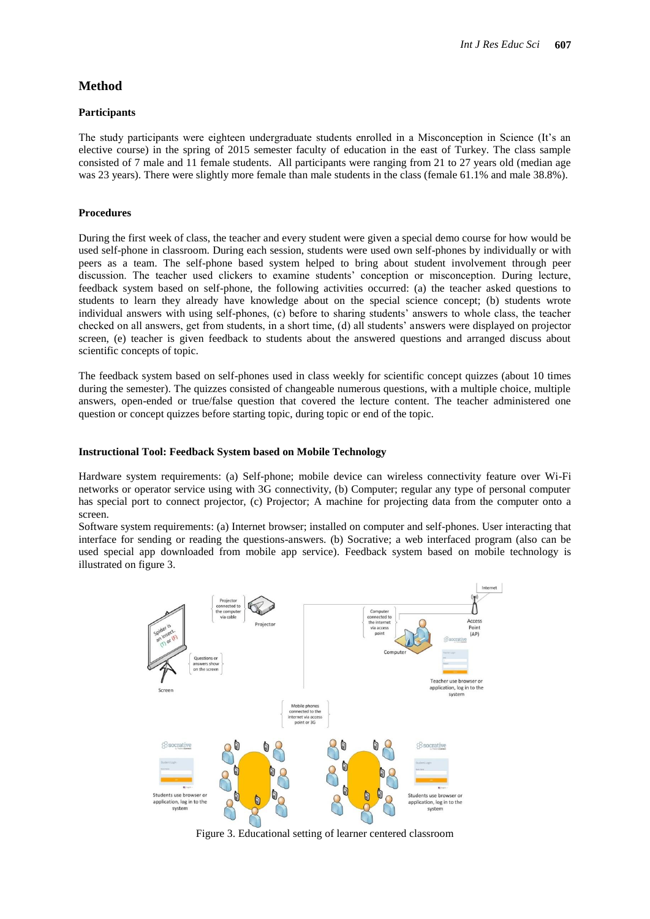The study participants were eighteen undergraduate students enrolled in a Misconception in Science (It"s an elective course) in the spring of 2015 semester faculty of education in the east of Turkey. The class sample consisted of 7 male and 11 female students. All participants were ranging from 21 to 27 years old (median age was 23 years). There were slightly more female than male students in the class (female 61.1% and male 38.8%).

#### **Procedures**

During the first week of class, the teacher and every student were given a special demo course for how would be used self-phone in classroom. During each session, students were used own self-phones by individually or with peers as a team. The self-phone based system helped to bring about student involvement through peer discussion. The teacher used clickers to examine students" conception or misconception. During lecture, feedback system based on self-phone, the following activities occurred: (a) the teacher asked questions to students to learn they already have knowledge about on the special science concept; (b) students wrote individual answers with using self-phones, (c) before to sharing students" answers to whole class, the teacher checked on all answers, get from students, in a short time, (d) all students" answers were displayed on projector screen, (e) teacher is given feedback to students about the answered questions and arranged discuss about scientific concepts of topic.

The feedback system based on self-phones used in class weekly for scientific concept quizzes (about 10 times during the semester). The quizzes consisted of changeable numerous questions, with a multiple choice, multiple answers, open-ended or true/false question that covered the lecture content. The teacher administered one question or concept quizzes before starting topic, during topic or end of the topic.

#### **Instructional Tool: Feedback System based on Mobile Technology**

Hardware system requirements: (a) Self-phone; mobile device can wireless connectivity feature over Wi-Fi networks or operator service using with 3G connectivity, (b) Computer; regular any type of personal computer has special port to connect projector, (c) Projector; A machine for projecting data from the computer onto a screen.

Software system requirements: (a) Internet browser; installed on computer and self-phones. User interacting that interface for sending or reading the questions-answers. (b) Socrative; a web interfaced program (also can be used special app downloaded from mobile app service). Feedback system based on mobile technology is illustrated on figure 3.



Figure 3. Educational setting of learner centered classroom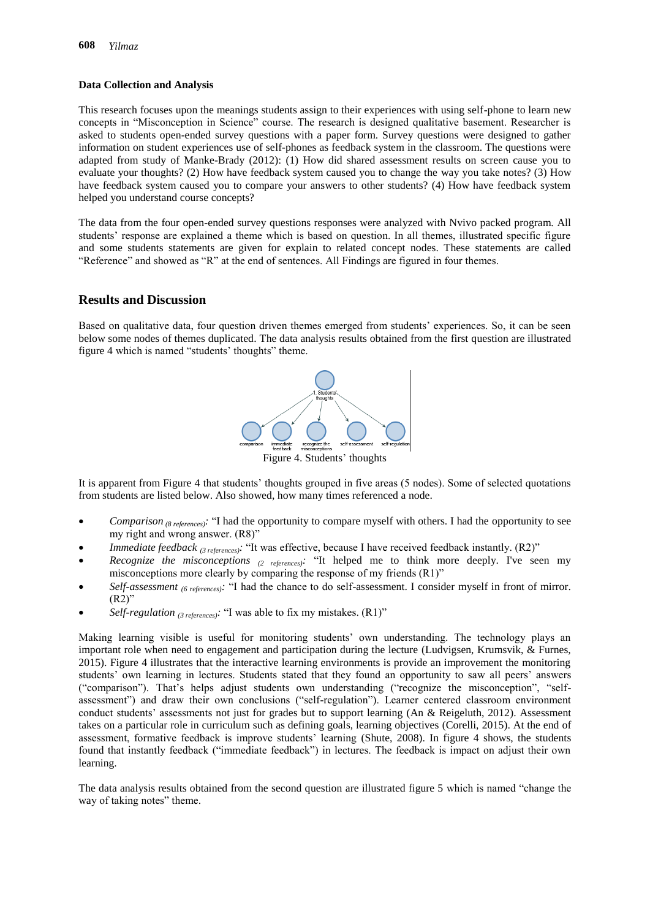#### **Data Collection and Analysis**

This research focuses upon the meanings students assign to their experiences with using self-phone to learn new concepts in "Misconception in Science" course. The research is designed qualitative basement. Researcher is asked to students open-ended survey questions with a paper form. Survey questions were designed to gather information on student experiences use of self-phones as feedback system in the classroom. The questions were adapted from study of [Manke-Brady \(2012\)](#page-9-15): (1) How did shared assessment results on screen cause you to evaluate your thoughts? (2) How have feedback system caused you to change the way you take notes? (3) How have feedback system caused you to compare your answers to other students? (4) How have feedback system helped you understand course concepts?

The data from the four open-ended survey questions responses were analyzed with Nvivo packed program. All students' response are explained a theme which is based on question. In all themes, illustrated specific figure and some students statements are given for explain to related concept nodes. These statements are called "Reference" and showed as "R" at the end of sentences. All Findings are figured in four themes.

### **Results and Discussion**

Based on qualitative data, four question driven themes emerged from students" experiences. So, it can be seen below some nodes of themes duplicated. The data analysis results obtained from the first question are illustrated figure 4 which is named "students" thoughts" theme.



It is apparent from Figure 4 that students" thoughts grouped in five areas (5 nodes). Some of selected quotations from students are listed below. Also showed, how many times referenced a node.

- *Comparison (8 references):* "I had the opportunity to compare myself with others. I had the opportunity to see my right and wrong answer. (R8)"
- *Immediate feedback* <sup>(3 references)</sub>: "It was effective, because I have received feedback instantly. (R2)"</sup>
- *Recognize the misconceptions (2 references):* "It helped me to think more deeply. I've seen my misconceptions more clearly by comparing the response of my friends (R1)"
- *Self-assessment (6 references):* "I had the chance to do self-assessment. I consider myself in front of mirror. (R2)"
- *Self-regulation (3 references):* "I was able to fix my mistakes. (R1)"

Making learning visible is useful for monitoring students' own understanding. The technology plays an important role when need to engagement and participation during the lecture [\(Ludvigsen, Krumsvik, & Furnes,](#page-9-16)  [2015\)](#page-9-16). Figure 4 illustrates that the interactive learning environments is provide an improvement the monitoring students' own learning in lectures. Students stated that they found an opportunity to saw all peers' answers ("comparison"). That"s helps adjust students own understanding ("recognize the misconception", "selfassessment") and draw their own conclusions ("self-regulation"). Learner centered classroom environment conduct students" assessments not just for grades but to support learning [\(An & Reigeluth, 2012\)](#page-9-2). Assessment takes on a particular role in curriculum such as defining goals, learning objectives [\(Corelli, 2015\)](#page-9-17). At the end of assessment, formative feedback is improve students' learning [\(Shute, 2008\)](#page-10-4). In figure 4 shows, the students found that instantly feedback ("immediate feedback") in lectures. The feedback is impact on adjust their own learning.

The data analysis results obtained from the second question are illustrated figure 5 which is named "change the way of taking notes" theme.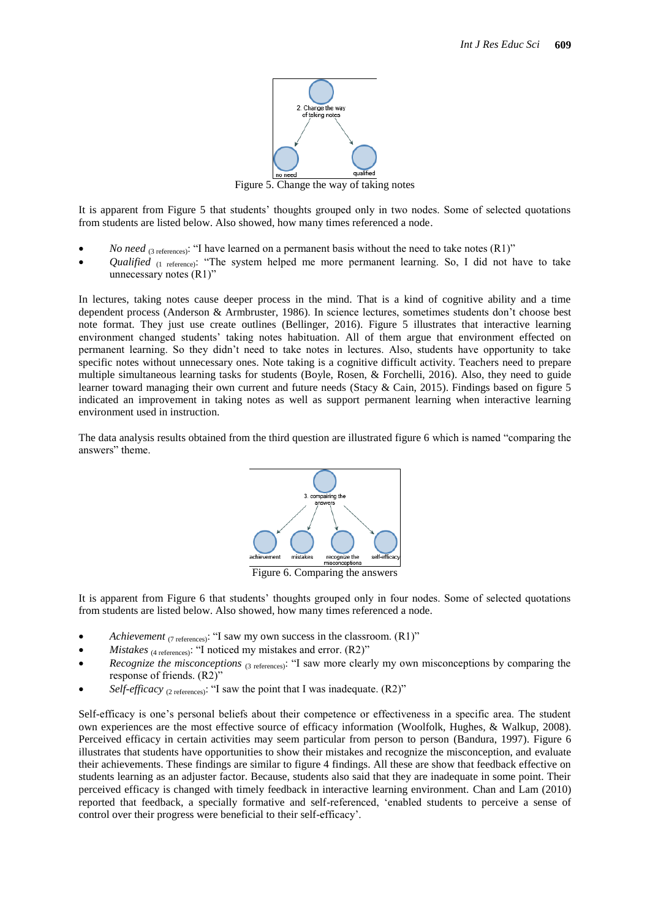

Figure 5. Change the way of taking notes

It is apparent from Figure 5 that students" thoughts grouped only in two nodes. Some of selected quotations from students are listed below. Also showed, how many times referenced a node.

- *No need* (3 references): "I have learned on a permanent basis without the need to take notes (R1)"
- *Qualified* (1 reference): "The system helped me more permanent learning. So, I did not have to take unnecessary notes (R1)"

In lectures, taking notes cause deeper process in the mind. That is a kind of cognitive ability and a time dependent process [\(Anderson & Armbruster, 1986\)](#page-9-18). In science lectures, sometimes students don"t choose best note format. They just use create outlines [\(Bellinger, 2016\)](#page-9-19). Figure 5 illustrates that interactive learning environment changed students" taking notes habituation. All of them argue that environment effected on permanent learning. So they didn"t need to take notes in lectures. Also, students have opportunity to take specific notes without unnecessary ones. Note taking is a cognitive difficult activity. Teachers need to prepare multiple simultaneous learning tasks for students [\(Boyle, Rosen, & Forchelli, 2016\)](#page-9-20). Also, they need to guide learner toward managing their own current and future needs [\(Stacy & Cain, 2015\)](#page-10-5). Findings based on figure 5 indicated an improvement in taking notes as well as support permanent learning when interactive learning environment used in instruction.

The data analysis results obtained from the third question are illustrated figure 6 which is named "comparing the answers" theme.



Figure 6. Comparing the answers

It is apparent from Figure 6 that students" thoughts grouped only in four nodes. Some of selected quotations from students are listed below. Also showed, how many times referenced a node.

- *Achievement* (7 references): "I saw my own success in the classroom. (R1)"
- *Mistakes* (4 references): "I noticed my mistakes and error. (R2)"
- *Recognize the misconceptions* (3 references): "I saw more clearly my own misconceptions by comparing the response of friends. (R2)"
- *Self-efficacy* (2 references): "I saw the point that I was inadequate. (R2)"

Self-efficacy is one's personal beliefs about their competence or effectiveness in a specific area. The student own experiences are the most effective source of efficacy information [\(Woolfolk, Hughes, & Walkup, 2008\)](#page-10-6). Perceived efficacy in certain activities may seem particular from person to person [\(Bandura, 1997\)](#page-9-21). Figure 6 illustrates that students have opportunities to show their mistakes and recognize the misconception, and evaluate their achievements. These findings are similar to figure 4 findings. All these are show that feedback effective on students learning as an adjuster factor. Because, students also said that they are inadequate in some point. Their perceived efficacy is changed with timely feedback in interactive learning environment. [Chan and Lam \(2010\)](#page-9-22) reported that feedback, a specially formative and self-referenced, "enabled students to perceive a sense of control over their progress were beneficial to their self-efficacy".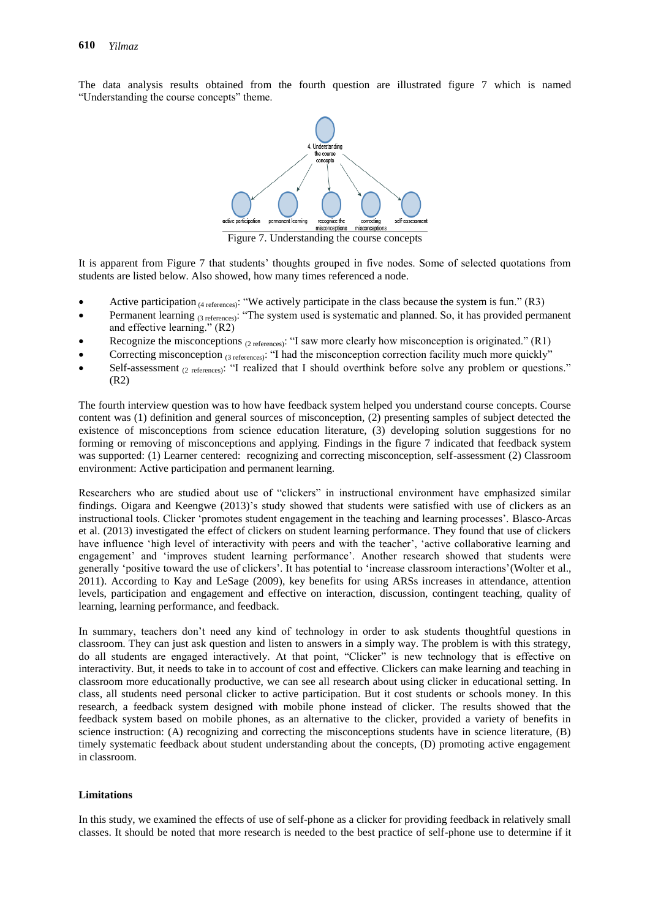The data analysis results obtained from the fourth question are illustrated figure 7 which is named "Understanding the course concepts" theme.



Figure 7. Understanding the course concepts

It is apparent from Figure 7 that students" thoughts grouped in five nodes. Some of selected quotations from students are listed below. Also showed, how many times referenced a node.

- Active participation  $(4 \text{ references})$ : "We actively participate in the class because the system is fun." (R3)
- Permanent learning (3 references): "The system used is systematic and planned. So, it has provided permanent and effective learning." (R2)
- Recognize the misconceptions (2 references): "I saw more clearly how misconception is originated." (R1)
- Correcting misconception (3 references): "I had the misconception correction facility much more quickly"
- Self-assessment (2 references): "I realized that I should overthink before solve any problem or questions." (R2)

The fourth interview question was to how have feedback system helped you understand course concepts. Course content was (1) definition and general sources of misconception, (2) presenting samples of subject detected the existence of misconceptions from science education literature, (3) developing solution suggestions for no forming or removing of misconceptions and applying. Findings in the figure 7 indicated that feedback system was supported: (1) Learner centered: recognizing and correcting misconception, self-assessment (2) Classroom environment: Active participation and permanent learning.

Researchers who are studied about use of "clickers" in instructional environment have emphasized similar findings. [Oigara and Keengwe \(2013\)](#page-9-10)'s study showed that students were satisfied with use of clickers as an instructional tools. Clicker "promotes student engagement in the teaching and learning processes". [Blasco-Arcas](#page-9-7)  [et al. \(2013\)](#page-9-7) investigated the effect of clickers on student learning performance. They found that use of clickers have influence 'high level of interactivity with peers and with the teacher', 'active collaborative learning and engagement' and 'improves student learning performance'. Another research showed that students were generally "positive toward the use of clickers". It has potential to "increase classroom interactions"[\(Wolter et al.,](#page-10-1)  [2011\)](#page-10-1). According to [Kay and LeSage \(2009\)](#page-9-23), key benefits for using ARSs increases in attendance, attention levels, participation and engagement and effective on interaction, discussion, contingent teaching, quality of learning, learning performance, and feedback.

In summary, teachers don't need any kind of technology in order to ask students thoughtful questions in classroom. They can just ask question and listen to answers in a simply way. The problem is with this strategy, do all students are engaged interactively. At that point, "Clicker" is new technology that is effective on interactivity. But, it needs to take in to account of cost and effective. Clickers can make learning and teaching in classroom more educationally productive, we can see all research about using clicker in educational setting. In class, all students need personal clicker to active participation. But it cost students or schools money. In this research, a feedback system designed with mobile phone instead of clicker. The results showed that the feedback system based on mobile phones, as an alternative to the clicker, provided a variety of benefits in science instruction: (A) recognizing and correcting the misconceptions students have in science literature, (B) timely systematic feedback about student understanding about the concepts, (D) promoting active engagement in classroom.

#### **Limitations**

In this study, we examined the effects of use of self-phone as a clicker for providing feedback in relatively small classes. It should be noted that more research is needed to the best practice of self-phone use to determine if it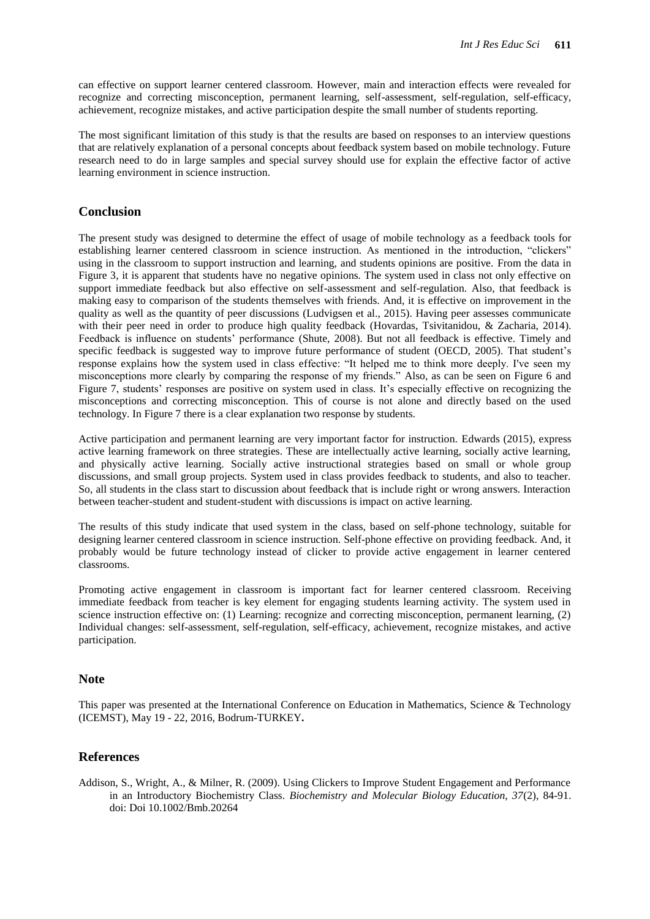can effective on support learner centered classroom. However, main and interaction effects were revealed for recognize and correcting misconception, permanent learning, self-assessment, self-regulation, self-efficacy, achievement, recognize mistakes, and active participation despite the small number of students reporting.

The most significant limitation of this study is that the results are based on responses to an interview questions that are relatively explanation of a personal concepts about feedback system based on mobile technology. Future research need to do in large samples and special survey should use for explain the effective factor of active learning environment in science instruction.

### **Conclusion**

The present study was designed to determine the effect of usage of mobile technology as a feedback tools for establishing learner centered classroom in science instruction. As mentioned in the introduction, "clickers" using in the classroom to support instruction and learning, and students opinions are positive. From the data in Figure 3, it is apparent that students have no negative opinions. The system used in class not only effective on support immediate feedback but also effective on self-assessment and self-regulation. Also, that feedback is making easy to comparison of the students themselves with friends. And, it is effective on improvement in the quality as well as the quantity of peer discussions [\(Ludvigsen et al., 2015\)](#page-9-16). Having peer assesses communicate with their peer need in order to produce high quality feedback [\(Hovardas, Tsivitanidou, & Zacharia, 2014\)](#page-9-24). Feedback is influence on students" performance [\(Shute, 2008\)](#page-10-4). But not all feedback is effective. Timely and specific feedback is suggested way to improve future performance of student [\(OECD, 2005\)](#page-9-5). That student's response explains how the system used in class effective: "It helped me to think more deeply. I've seen my misconceptions more clearly by comparing the response of my friends." Also, as can be seen on Figure 6 and Figure 7, students' responses are positive on system used in class. It's especially effective on recognizing the misconceptions and correcting misconception. This of course is not alone and directly based on the used technology. In Figure 7 there is a clear explanation two response by students.

Active participation and permanent learning are very important factor for instruction. [Edwards \(2015\)](#page-9-25), express active learning framework on three strategies. These are intellectually active learning, socially active learning, and physically active learning. Socially active instructional strategies based on small or whole group discussions, and small group projects. System used in class provides feedback to students, and also to teacher. So, all students in the class start to discussion about feedback that is include right or wrong answers. Interaction between teacher-student and student-student with discussions is impact on active learning.

The results of this study indicate that used system in the class, based on self-phone technology, suitable for designing learner centered classroom in science instruction. Self-phone effective on providing feedback. And, it probably would be future technology instead of clicker to provide active engagement in learner centered classrooms.

Promoting active engagement in classroom is important fact for learner centered classroom. Receiving immediate feedback from teacher is key element for engaging students learning activity. The system used in science instruction effective on: (1) Learning: recognize and correcting misconception, permanent learning, (2) Individual changes: self-assessment, self-regulation, self-efficacy, achievement, recognize mistakes, and active participation.

#### **Note**

This paper was presented at the International Conference on Education in Mathematics, Science & Technology (ICEMST), May 19 - 22, 2016, Bodrum-TURKEY**.** 

#### **References**

<span id="page-8-0"></span>Addison, S., Wright, A., & Milner, R. (2009). Using Clickers to Improve Student Engagement and Performance in an Introductory Biochemistry Class. *Biochemistry and Molecular Biology Education, 37*(2), 84-91. doi: Doi 10.1002/Bmb.20264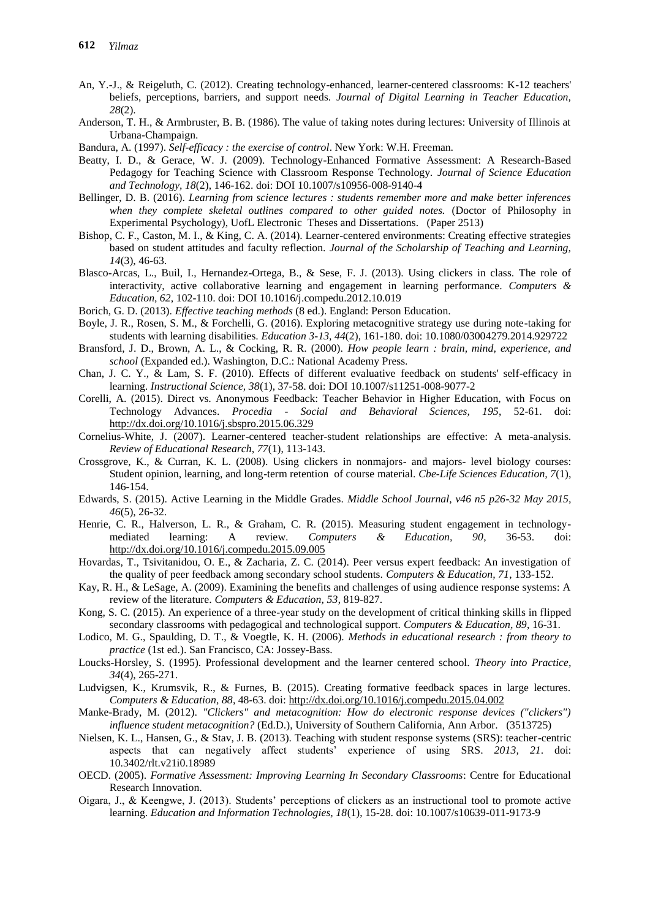- <span id="page-9-2"></span>An, Y.-J., & Reigeluth, C. (2012). Creating technology-enhanced, learner-centered classrooms: K-12 teachers' beliefs, perceptions, barriers, and support needs. *Journal of Digital Learning in Teacher Education, 28*(2).
- <span id="page-9-18"></span>Anderson, T. H., & Armbruster, B. B. (1986). The value of taking notes during lectures: University of Illinois at Urbana-Champaign.
- <span id="page-9-21"></span>Bandura, A. (1997). *Self-efficacy : the exercise of control*. New York: W.H. Freeman.
- <span id="page-9-6"></span>Beatty, I. D., & Gerace, W. J. (2009). Technology-Enhanced Formative Assessment: A Research-Based Pedagogy for Teaching Science with Classroom Response Technology. *Journal of Science Education and Technology, 18*(2), 146-162. doi: DOI 10.1007/s10956-008-9140-4
- <span id="page-9-19"></span>Bellinger, D. B. (2016). *Learning from science lectures : students remember more and make better inferences when they complete skeletal outlines compared to other guided notes.* (Doctor of Philosophy in Experimental Psychology), UofL Electronic Theses and Dissertations. (Paper 2513)
- <span id="page-9-0"></span>Bishop, C. F., Caston, M. I., & King, C. A. (2014). Learner-centered environments: Creating effective strategies based on student attitudes and faculty reflection. *Journal of the Scholarship of Teaching and Learning, 14*(3), 46-63.
- <span id="page-9-7"></span>Blasco-Arcas, L., Buil, I., Hernandez-Ortega, B., & Sese, F. J. (2013). Using clickers in class. The role of interactivity, active collaborative learning and engagement in learning performance. *Computers & Education, 62*, 102-110. doi: DOI 10.1016/j.compedu.2012.10.019
- <span id="page-9-4"></span>Borich, G. D. (2013). *Effective teaching methods* (8 ed.). England: Person Education.
- <span id="page-9-20"></span>Boyle, J. R., Rosen, S. M., & Forchelli, G. (2016). Exploring metacognitive strategy use during note-taking for students with learning disabilities. *Education 3-13, 44*(2), 161-180. doi: 10.1080/03004279.2014.929722
- <span id="page-9-3"></span>Bransford, J. D., Brown, A. L., & Cocking, R. R. (2000). *How people learn : brain, mind, experience, and school* (Expanded ed.). Washington, D.C.: National Academy Press.
- <span id="page-9-22"></span>Chan, J. C. Y., & Lam, S. F. (2010). Effects of different evaluative feedback on students' self-efficacy in learning. *Instructional Science, 38*(1), 37-58. doi: DOI 10.1007/s11251-008-9077-2
- <span id="page-9-17"></span>Corelli, A. (2015). Direct vs. Anonymous Feedback: Teacher Behavior in Higher Education, with Focus on Technology Advances. *Procedia - Social and Behavioral Sciences, 195*, 52-61. doi: <http://dx.doi.org/10.1016/j.sbspro.2015.06.329>
- <span id="page-9-13"></span>Cornelius-White, J. (2007). Learner-centered teacher-student relationships are effective: A meta-analysis. *Review of Educational Research, 77*(1), 113-143.
- <span id="page-9-9"></span>Crossgrove, K., & Curran, K. L. (2008). Using clickers in nonmajors- and majors- level biology courses: Student opinion, learning, and long-term retention of course material. *Cbe-Life Sciences Education, 7*(1), 146-154.
- <span id="page-9-25"></span>Edwards, S. (2015). Active Learning in the Middle Grades. *Middle School Journal, v46 n5 p26-32 May 2015, 46*(5), 26-32.
- <span id="page-9-12"></span>Henrie, C. R., Halverson, L. R., & Graham, C. R. (2015). Measuring student engagement in technologymediated learning: A review. *Computers & Education, 90*, 36-53. doi: <http://dx.doi.org/10.1016/j.compedu.2015.09.005>
- <span id="page-9-24"></span>Hovardas, T., Tsivitanidou, O. E., & Zacharia, Z. C. (2014). Peer versus expert feedback: An investigation of the quality of peer feedback among secondary school students. *Computers & Education, 71*, 133-152.
- <span id="page-9-23"></span>Kay, R. H., & LeSage, A. (2009). Examining the benefits and challenges of using audience response systems: A review of the literature. *Computers & Education, 53*, 819-827.
- <span id="page-9-11"></span>Kong, S. C. (2015). An experience of a three-year study on the development of critical thinking skills in flipped secondary classrooms with pedagogical and technological support. *Computers & Education, 89*, 16-31.
- <span id="page-9-14"></span>Lodico, M. G., Spaulding, D. T., & Voegtle, K. H. (2006). *Methods in educational research : from theory to practice* (1st ed.). San Francisco, CA: Jossey-Bass.
- <span id="page-9-1"></span>Loucks-Horsley, S. (1995). Professional development and the learner centered school. *Theory into Practice, 34*(4), 265-271.
- <span id="page-9-16"></span>Ludvigsen, K., Krumsvik, R., & Furnes, B. (2015). Creating formative feedback spaces in large lectures. *Computers & Education, 88*, 48-63. doi[: http://dx.doi.org/10.1016/j.compedu.2015.04.002](http://dx.doi.org/10.1016/j.compedu.2015.04.002)
- <span id="page-9-15"></span>Manke-Brady, M. (2012). *"Clickers" and metacognition: How do electronic response devices ("clickers") influence student metacognition?* (Ed.D.), University of Southern California, Ann Arbor. (3513725)
- <span id="page-9-8"></span>Nielsen, K. L., Hansen, G., & Stav, J. B. (2013). Teaching with student response systems (SRS): teacher-centric aspects that can negatively affect students" experience of using SRS. *2013, 21*. doi: 10.3402/rlt.v21i0.18989
- <span id="page-9-5"></span>OECD. (2005). *Formative Assessment: Improving Learning In Secondary Classrooms*: Centre for Educational Research Innovation.
- <span id="page-9-10"></span>Oigara, J., & Keengwe, J. (2013). Students" perceptions of clickers as an instructional tool to promote active learning. *Education and Information Technologies, 18*(1), 15-28. doi: 10.1007/s10639-011-9173-9